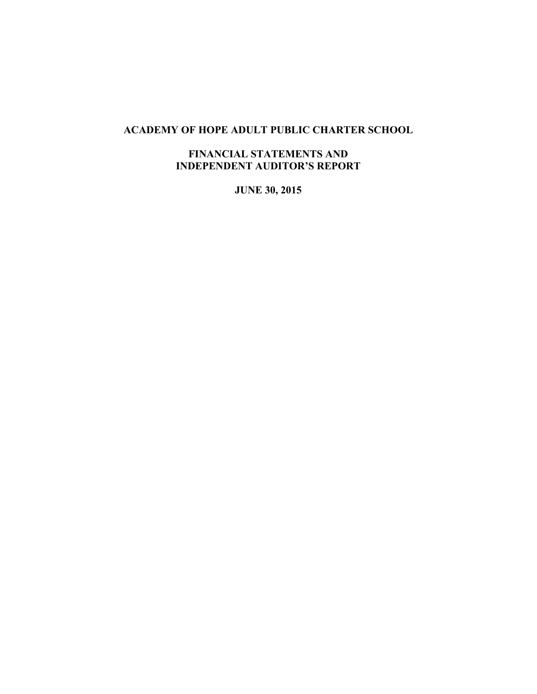## **ACADEMY OF HOPE ADULT PUBLIC CHARTER SCHOOL**

### **FINANCIAL STATEMENTS AND INDEPENDENT AUDITOR'S REPORT**

**JUNE 30, 2015**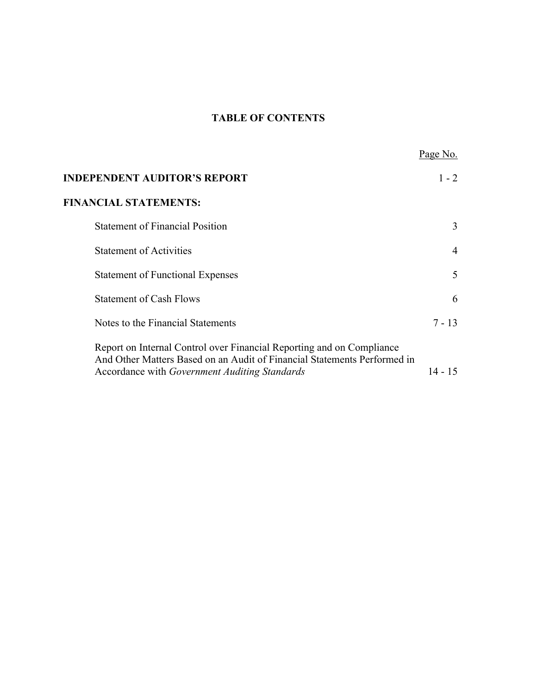# **TABLE OF CONTENTS**

|                                                                                                                                                                                                    | Page No.  |
|----------------------------------------------------------------------------------------------------------------------------------------------------------------------------------------------------|-----------|
| <b>INDEPENDENT AUDITOR'S REPORT</b>                                                                                                                                                                | $1 - 2$   |
| <b>FINANCIAL STATEMENTS:</b>                                                                                                                                                                       |           |
| <b>Statement of Financial Position</b>                                                                                                                                                             | 3         |
| <b>Statement of Activities</b>                                                                                                                                                                     | 4         |
| <b>Statement of Functional Expenses</b>                                                                                                                                                            | 5         |
| <b>Statement of Cash Flows</b>                                                                                                                                                                     | 6         |
| Notes to the Financial Statements                                                                                                                                                                  | $7 - 13$  |
| Report on Internal Control over Financial Reporting and on Compliance<br>And Other Matters Based on an Audit of Financial Statements Performed in<br>Accordance with Government Auditing Standards | $14 - 15$ |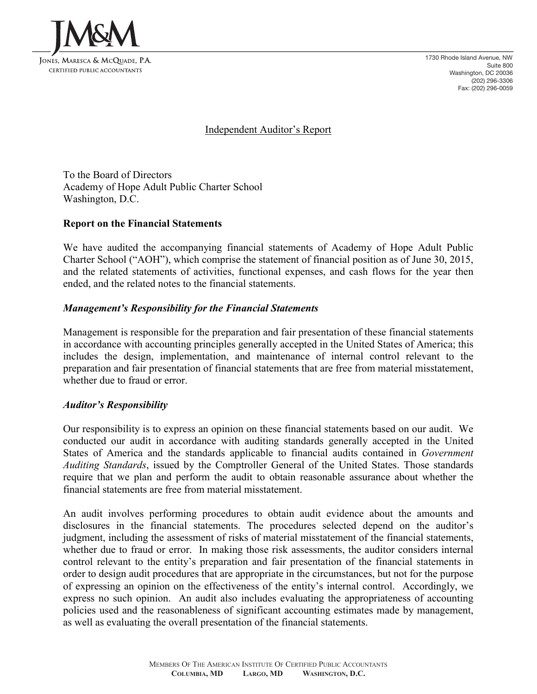

1730 Rhode Island Avenue, NW Suite 800 Washington, DC 20036 (202) 296-3306 Fax: (202) 296-0059

Independent Auditor's Report

To the Board of Directors Academy of Hope Adult Public Charter School Washington, D.C.

#### **Report on the Financial Statements**

We have audited the accompanying financial statements of Academy of Hope Adult Public Charter School ("AOH"), which comprise the statement of financial position as of June 30, 2015, and the related statements of activities, functional expenses, and cash flows for the year then ended, and the related notes to the financial statements.

### *Management's Responsibility for the Financial Statements*

Management is responsible for the preparation and fair presentation of these financial statements in accordance with accounting principles generally accepted in the United States of America; this includes the design, implementation, and maintenance of internal control relevant to the preparation and fair presentation of financial statements that are free from material misstatement, whether due to fraud or error.

#### *Auditor's Responsibility*

Our responsibility is to express an opinion on these financial statements based on our audit. We conducted our audit in accordance with auditing standards generally accepted in the United States of America and the standards applicable to financial audits contained in *Government Auditing Standards*, issued by the Comptroller General of the United States. Those standards require that we plan and perform the audit to obtain reasonable assurance about whether the financial statements are free from material misstatement.

An audit involves performing procedures to obtain audit evidence about the amounts and disclosures in the financial statements. The procedures selected depend on the auditor's judgment, including the assessment of risks of material misstatement of the financial statements, whether due to fraud or error. In making those risk assessments, the auditor considers internal control relevant to the entity's preparation and fair presentation of the financial statements in order to design audit procedures that are appropriate in the circumstances, but not for the purpose of expressing an opinion on the effectiveness of the entity's internal control. Accordingly, we express no such opinion. An audit also includes evaluating the appropriateness of accounting policies used and the reasonableness of significant accounting estimates made by management, as well as evaluating the overall presentation of the financial statements.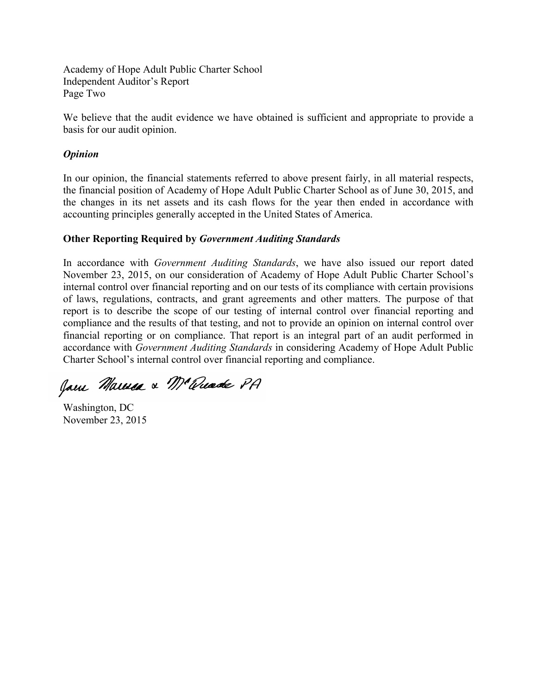Academy of Hope Adult Public Charter School Independent Auditor's Report Page Two

We believe that the audit evidence we have obtained is sufficient and appropriate to provide a basis for our audit opinion.

### *Opinion*

In our opinion, the financial statements referred to above present fairly, in all material respects, the financial position of Academy of Hope Adult Public Charter School as of June 30, 2015, and the changes in its net assets and its cash flows for the year then ended in accordance with accounting principles generally accepted in the United States of America.

### **Other Reporting Required by** *Government Auditing Standards*

In accordance with *Government Auditing Standards*, we have also issued our report dated November 23, 2015, on our consideration of Academy of Hope Adult Public Charter School's internal control over financial reporting and on our tests of its compliance with certain provisions of laws, regulations, contracts, and grant agreements and other matters. The purpose of that report is to describe the scope of our testing of internal control over financial reporting and compliance and the results of that testing, and not to provide an opinion on internal control over financial reporting or on compliance. That report is an integral part of an audit performed in accordance with *Government Auditing Standards* in considering Academy of Hope Adult Public Charter School's internal control over financial reporting and compliance.

Jam Marie & M'amade PA

Washington, DC November 23, 2015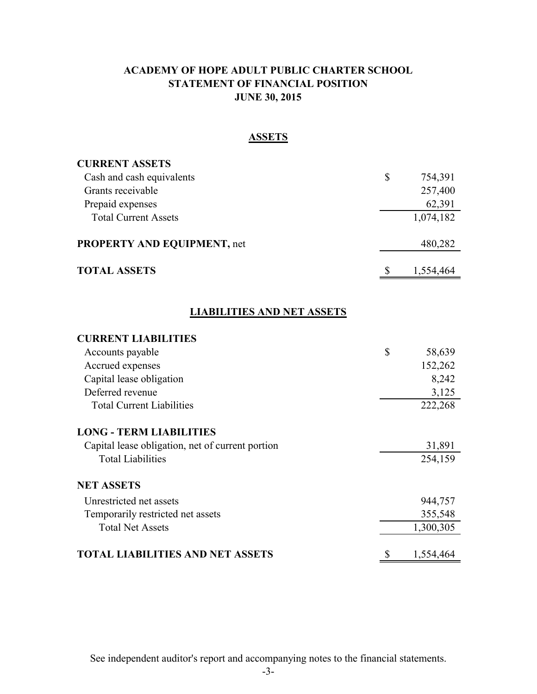## **ACADEMY OF HOPE ADULT PUBLIC CHARTER SCHOOL STATEMENT OF FINANCIAL POSITION JUNE 30, 2015**

## **ASSETS**

| <b>CURRENT ASSETS</b>              |               |
|------------------------------------|---------------|
| Cash and cash equivalents          | \$<br>754,391 |
| Grants receivable                  | 257,400       |
| Prepaid expenses                   | 62,391        |
| <b>Total Current Assets</b>        | 1,074,182     |
| <b>PROPERTY AND EQUIPMENT, net</b> | 480,282       |
|                                    |               |
| <b>TOTAL ASSETS</b>                | 1,554,464     |

## **LIABILITIES AND NET ASSETS**

### **CURRENT LIABILITIES**

| Accounts payable                                 | \$<br>58,639    |
|--------------------------------------------------|-----------------|
| Accrued expenses                                 | 152,262         |
| Capital lease obligation                         | 8,242           |
| Deferred revenue                                 | 3,125           |
| <b>Total Current Liabilities</b>                 | 222,268         |
| <b>LONG - TERM LIABILITIES</b>                   |                 |
| Capital lease obligation, net of current portion | 31,891          |
| <b>Total Liabilities</b>                         | 254,159         |
| <b>NET ASSETS</b>                                |                 |
| Unrestricted net assets                          | 944,757         |
| Temporarily restricted net assets                | 355,548         |
| <b>Total Net Assets</b>                          | 1,300,305       |
| <b>TOTAL LIABILITIES AND NET ASSETS</b>          | \$<br>1,554,464 |

See independent auditor's report and accompanying notes to the financial statements.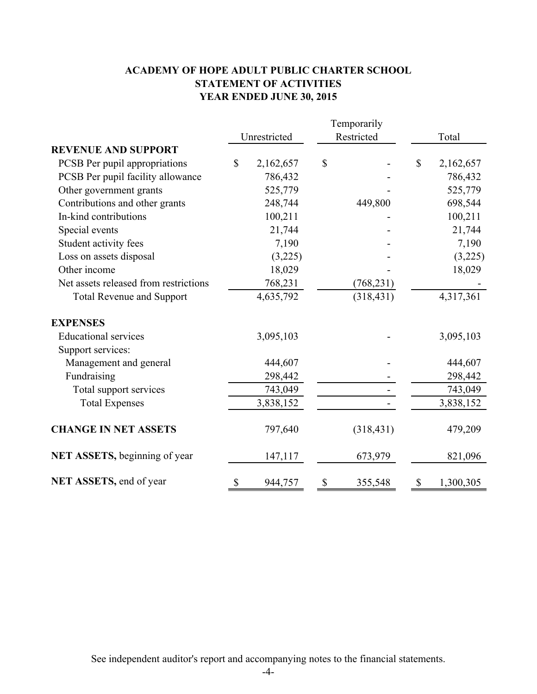# **ACADEMY OF HOPE ADULT PUBLIC CHARTER SCHOOL STATEMENT OF ACTIVITIES YEAR ENDED JUNE 30, 2015**

|                                       |             |              |               | Temporarily |    |           |  |
|---------------------------------------|-------------|--------------|---------------|-------------|----|-----------|--|
|                                       |             | Unrestricted |               | Restricted  |    | Total     |  |
| <b>REVENUE AND SUPPORT</b>            |             |              |               |             |    |           |  |
| PCSB Per pupil appropriations         | $\mathbf S$ | 2,162,657    | $\mathcal{S}$ |             | \$ | 2,162,657 |  |
| PCSB Per pupil facility allowance     |             | 786,432      |               |             |    | 786,432   |  |
| Other government grants               |             | 525,779      |               |             |    | 525,779   |  |
| Contributions and other grants        |             | 248,744      |               | 449,800     |    | 698,544   |  |
| In-kind contributions                 |             | 100,211      |               |             |    | 100,211   |  |
| Special events                        |             | 21,744       |               |             |    | 21,744    |  |
| Student activity fees                 |             | 7,190        |               |             |    | 7,190     |  |
| Loss on assets disposal               |             | (3,225)      |               |             |    | (3,225)   |  |
| Other income                          |             | 18,029       |               |             |    | 18,029    |  |
| Net assets released from restrictions |             | 768,231      |               | (768, 231)  |    |           |  |
| <b>Total Revenue and Support</b>      |             | 4,635,792    |               | (318, 431)  |    | 4,317,361 |  |
| <b>EXPENSES</b>                       |             |              |               |             |    |           |  |
| <b>Educational services</b>           |             | 3,095,103    |               |             |    | 3,095,103 |  |
| Support services:                     |             |              |               |             |    |           |  |
| Management and general                |             | 444,607      |               |             |    | 444,607   |  |
| Fundraising                           |             | 298,442      |               |             |    | 298,442   |  |
| Total support services                |             | 743,049      |               |             |    | 743,049   |  |
| <b>Total Expenses</b>                 |             | 3,838,152    |               |             |    | 3,838,152 |  |
| <b>CHANGE IN NET ASSETS</b>           |             | 797,640      |               | (318, 431)  |    | 479,209   |  |
| NET ASSETS, beginning of year         |             | 147,117      |               | 673,979     |    | 821,096   |  |
| NET ASSETS, end of year               | \$          | 944,757      | \$            | 355,548     | \$ | 1,300,305 |  |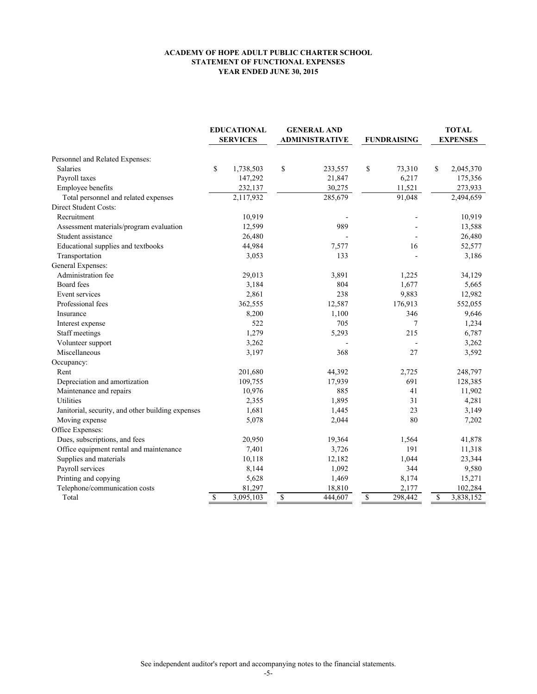#### **ACADEMY OF HOPE ADULT PUBLIC CHARTER SCHOOL STATEMENT OF FUNCTIONAL EXPENSES YEAR ENDED JUNE 30, 2015**

|                                                   | <b>EDUCATIONAL</b><br><b>SERVICES</b> |           | <b>GENERAL AND</b><br><b>ADMINISTRATIVE</b> |              | <b>FUNDRAISING</b> |                | <b>TOTAL</b><br><b>EXPENSES</b> |           |
|---------------------------------------------------|---------------------------------------|-----------|---------------------------------------------|--------------|--------------------|----------------|---------------------------------|-----------|
| Personnel and Related Expenses:                   |                                       |           |                                             |              |                    |                |                                 |           |
| <b>Salaries</b>                                   | \$                                    | 1,738,503 | \$                                          | 233,557      | \$                 | 73,310         | \$                              | 2,045,370 |
| Payroll taxes                                     |                                       | 147,292   |                                             | 21,847       |                    | 6,217          |                                 | 175,356   |
| Employee benefits                                 |                                       | 232,137   |                                             | 30,275       |                    | 11,521         |                                 | 273,933   |
| Total personnel and related expenses              |                                       | 2,117,932 |                                             | 285,679      |                    | 91,048         |                                 | 2,494,659 |
| Direct Student Costs:                             |                                       |           |                                             |              |                    |                |                                 |           |
| Recruitment                                       |                                       | 10,919    |                                             |              |                    |                |                                 | 10,919    |
| Assessment materials/program evaluation           |                                       | 12,599    |                                             | 989          |                    |                |                                 | 13,588    |
| Student assistance                                |                                       | 26,480    |                                             |              |                    |                |                                 | 26,480    |
| Educational supplies and textbooks                |                                       | 44,984    |                                             | 7,577        |                    | 16             |                                 | 52,577    |
|                                                   |                                       |           |                                             | 133          |                    |                |                                 |           |
| Transportation<br>General Expenses:               |                                       | 3,053     |                                             |              |                    |                |                                 | 3,186     |
| Administration fee                                |                                       |           |                                             |              |                    |                |                                 |           |
| <b>Board</b> fees                                 |                                       | 29,013    |                                             | 3,891<br>804 |                    | 1,225<br>1,677 |                                 | 34,129    |
|                                                   |                                       | 3,184     |                                             |              |                    |                |                                 | 5,665     |
| Event services                                    |                                       | 2,861     |                                             | 238          |                    | 9,883          |                                 | 12,982    |
| Professional fees                                 |                                       | 362,555   |                                             | 12,587       |                    | 176,913        |                                 | 552,055   |
| Insurance                                         |                                       | 8,200     |                                             | 1,100        |                    | 346            |                                 | 9,646     |
| Interest expense                                  |                                       | 522       |                                             | 705          |                    | 7              |                                 | 1,234     |
| Staff meetings                                    |                                       | 1,279     |                                             | 5,293        |                    | 215            |                                 | 6,787     |
| Volunteer support                                 |                                       | 3,262     |                                             |              |                    |                |                                 | 3,262     |
| Miscellaneous                                     |                                       | 3,197     |                                             | 368          |                    | 27             |                                 | 3,592     |
| Occupancy:                                        |                                       |           |                                             |              |                    |                |                                 |           |
| Rent                                              |                                       | 201,680   |                                             | 44,392       |                    | 2,725          |                                 | 248,797   |
| Depreciation and amortization                     |                                       | 109,755   |                                             | 17,939       |                    | 691            |                                 | 128,385   |
| Maintenance and repairs                           |                                       | 10,976    |                                             | 885          |                    | 41             |                                 | 11,902    |
| <b>Utilities</b>                                  |                                       | 2,355     |                                             | 1,895        |                    | 31             |                                 | 4,281     |
| Janitorial, security, and other building expenses |                                       | 1,681     |                                             | 1,445        |                    | 23             |                                 | 3,149     |
| Moving expense                                    |                                       | 5,078     |                                             | 2,044        |                    | 80             |                                 | 7,202     |
| Office Expenses:                                  |                                       |           |                                             |              |                    |                |                                 |           |
| Dues, subscriptions, and fees                     |                                       | 20,950    |                                             | 19,364       |                    | 1,564          |                                 | 41,878    |
| Office equipment rental and maintenance           |                                       | 7,401     |                                             | 3,726        |                    | 191            |                                 | 11,318    |
| Supplies and materials                            |                                       | 10,118    |                                             | 12,182       |                    | 1,044          |                                 | 23,344    |
| Payroll services                                  |                                       | 8,144     |                                             | 1,092        |                    | 344            |                                 | 9,580     |
| Printing and copying                              |                                       | 5,628     |                                             | 1,469        |                    | 8,174          |                                 | 15,271    |
| Telephone/communication costs                     |                                       | 81,297    |                                             | 18,810       |                    | 2,177          |                                 | 102,284   |
| Total                                             | \$                                    | 3,095,103 | \$                                          | 444,607      | $\mathbb S$        | 298,442        | \$                              | 3,838,152 |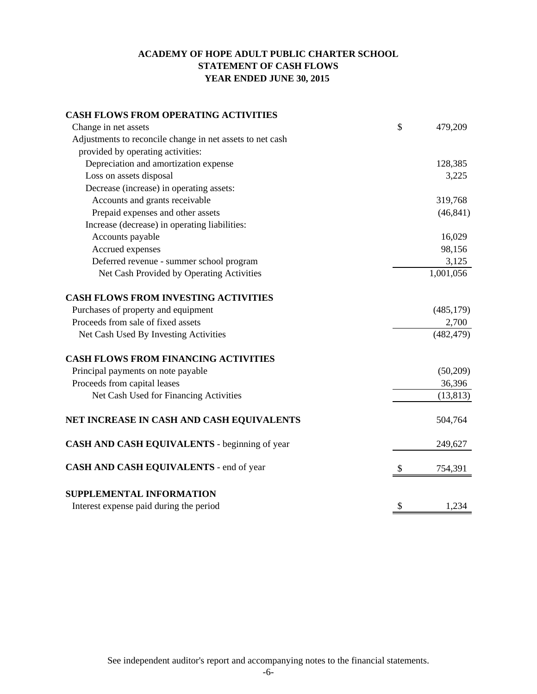### **ACADEMY OF HOPE ADULT PUBLIC CHARTER SCHOOL STATEMENT OF CASH FLOWS YEAR ENDED JUNE 30, 2015**

#### **CASH FLOWS FROM OPERATING ACTIVITIES**

| Change in net assets                                      | $\mathcal{S}$ | 479,209    |
|-----------------------------------------------------------|---------------|------------|
| Adjustments to reconcile change in net assets to net cash |               |            |
| provided by operating activities:                         |               |            |
| Depreciation and amortization expense                     |               | 128,385    |
| Loss on assets disposal                                   |               | 3,225      |
| Decrease (increase) in operating assets:                  |               |            |
| Accounts and grants receivable                            |               | 319,768    |
| Prepaid expenses and other assets                         |               | (46, 841)  |
| Increase (decrease) in operating liabilities:             |               |            |
| Accounts payable                                          |               | 16,029     |
| Accrued expenses                                          |               | 98,156     |
| Deferred revenue - summer school program                  |               | 3,125      |
| Net Cash Provided by Operating Activities                 |               | 1,001,056  |
| <b>CASH FLOWS FROM INVESTING ACTIVITIES</b>               |               |            |
| Purchases of property and equipment                       |               | (485, 179) |
| Proceeds from sale of fixed assets                        |               | 2,700      |
| Net Cash Used By Investing Activities                     |               | (482, 479) |
| <b>CASH FLOWS FROM FINANCING ACTIVITIES</b>               |               |            |
| Principal payments on note payable                        |               | (50,209)   |
| Proceeds from capital leases                              |               | 36,396     |
| Net Cash Used for Financing Activities                    |               | (13, 813)  |
| NET INCREASE IN CASH AND CASH EQUIVALENTS                 |               | 504,764    |
| <b>CASH AND CASH EQUIVALENTS - beginning of year</b>      |               | 249,627    |
| CASH AND CASH EQUIVALENTS - end of year                   | S             | 754,391    |
| <b>SUPPLEMENTAL INFORMATION</b>                           |               |            |
| Interest expense paid during the period                   | \$            | 1,234      |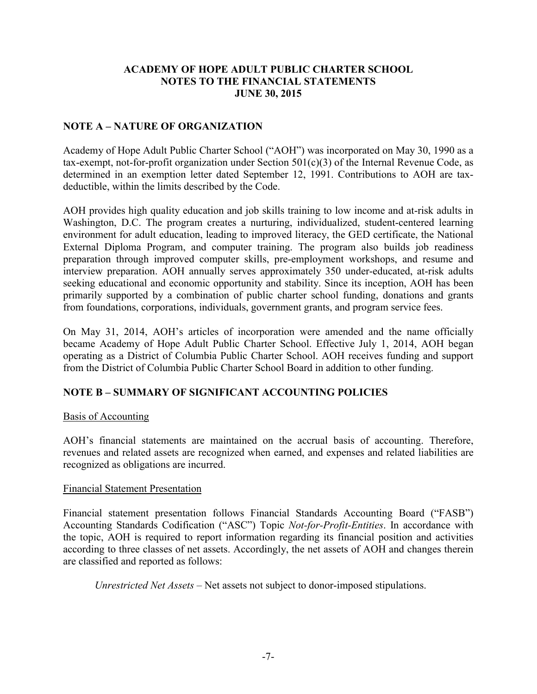### **NOTE A – NATURE OF ORGANIZATION**

Academy of Hope Adult Public Charter School ("AOH") was incorporated on May 30, 1990 as a tax-exempt, not-for-profit organization under Section  $501(c)(3)$  of the Internal Revenue Code, as determined in an exemption letter dated September 12, 1991. Contributions to AOH are taxdeductible, within the limits described by the Code.

AOH provides high quality education and job skills training to low income and at-risk adults in Washington, D.C. The program creates a nurturing, individualized, student-centered learning environment for adult education, leading to improved literacy, the GED certificate, the National External Diploma Program, and computer training. The program also builds job readiness preparation through improved computer skills, pre-employment workshops, and resume and interview preparation. AOH annually serves approximately 350 under-educated, at-risk adults seeking educational and economic opportunity and stability. Since its inception, AOH has been primarily supported by a combination of public charter school funding, donations and grants from foundations, corporations, individuals, government grants, and program service fees.

On May 31, 2014, AOH's articles of incorporation were amended and the name officially became Academy of Hope Adult Public Charter School. Effective July 1, 2014, AOH began operating as a District of Columbia Public Charter School. AOH receives funding and support from the District of Columbia Public Charter School Board in addition to other funding.

### **NOTE B – SUMMARY OF SIGNIFICANT ACCOUNTING POLICIES**

### Basis of Accounting

AOH's financial statements are maintained on the accrual basis of accounting. Therefore, revenues and related assets are recognized when earned, and expenses and related liabilities are recognized as obligations are incurred.

#### Financial Statement Presentation

Financial statement presentation follows Financial Standards Accounting Board ("FASB") Accounting Standards Codification ("ASC") Topic *Not-for-Profit-Entities*. In accordance with the topic, AOH is required to report information regarding its financial position and activities according to three classes of net assets. Accordingly, the net assets of AOH and changes therein are classified and reported as follows:

*Unrestricted Net Assets* – Net assets not subject to donor-imposed stipulations.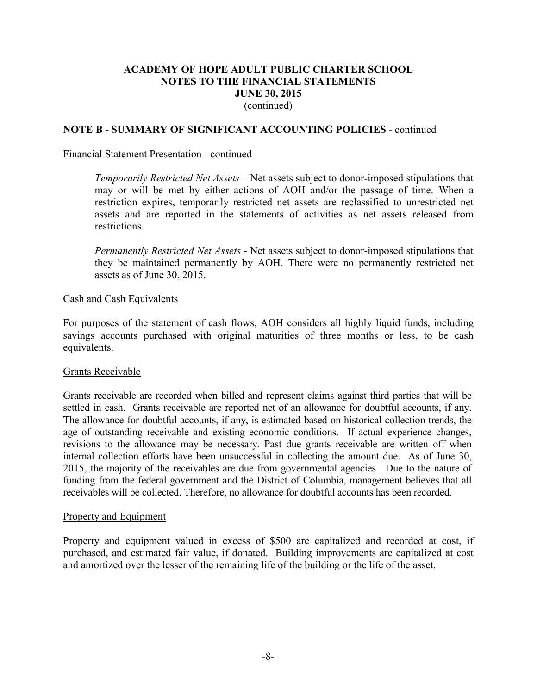### **NOTE B - SUMMARY OF SIGNIFICANT ACCOUNTING POLICIES** - continued

#### Financial Statement Presentation - continued

*Temporarily Restricted Net Assets* – Net assets subject to donor-imposed stipulations that may or will be met by either actions of AOH and/or the passage of time. When a restriction expires, temporarily restricted net assets are reclassified to unrestricted net assets and are reported in the statements of activities as net assets released from restrictions.

*Permanently Restricted Net Assets* - Net assets subject to donor-imposed stipulations that they be maintained permanently by AOH. There were no permanently restricted net assets as of June 30, 2015.

#### Cash and Cash Equivalents

For purposes of the statement of cash flows, AOH considers all highly liquid funds, including savings accounts purchased with original maturities of three months or less, to be cash equivalents.

#### Grants Receivable

Grants receivable are recorded when billed and represent claims against third parties that will be settled in cash. Grants receivable are reported net of an allowance for doubtful accounts, if any. The allowance for doubtful accounts, if any, is estimated based on historical collection trends, the age of outstanding receivable and existing economic conditions. If actual experience changes, revisions to the allowance may be necessary. Past due grants receivable are written off when internal collection efforts have been unsuccessful in collecting the amount due. As of June 30, 2015, the majority of the receivables are due from governmental agencies. Due to the nature of funding from the federal government and the District of Columbia, management believes that all receivables will be collected. Therefore, no allowance for doubtful accounts has been recorded.

#### Property and Equipment

Property and equipment valued in excess of \$500 are capitalized and recorded at cost, if purchased, and estimated fair value, if donated. Building improvements are capitalized at cost and amortized over the lesser of the remaining life of the building or the life of the asset.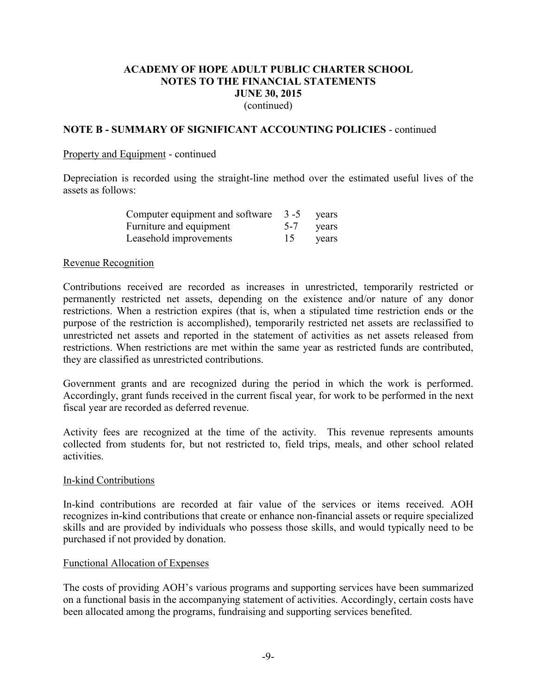### **NOTE B - SUMMARY OF SIGNIFICANT ACCOUNTING POLICIES** - continued

#### Property and Equipment - continued

Depreciation is recorded using the straight-line method over the estimated useful lives of the assets as follows:

| Computer equipment and software 3-5 |         | years |
|-------------------------------------|---------|-------|
| Furniture and equipment             | $5 - 7$ | years |
| Leasehold improvements              | 15      | years |

#### Revenue Recognition

Contributions received are recorded as increases in unrestricted, temporarily restricted or permanently restricted net assets, depending on the existence and/or nature of any donor restrictions. When a restriction expires (that is, when a stipulated time restriction ends or the purpose of the restriction is accomplished), temporarily restricted net assets are reclassified to unrestricted net assets and reported in the statement of activities as net assets released from restrictions. When restrictions are met within the same year as restricted funds are contributed, they are classified as unrestricted contributions.

Government grants and are recognized during the period in which the work is performed. Accordingly, grant funds received in the current fiscal year, for work to be performed in the next fiscal year are recorded as deferred revenue.

Activity fees are recognized at the time of the activity. This revenue represents amounts collected from students for, but not restricted to, field trips, meals, and other school related activities.

#### In-kind Contributions

In-kind contributions are recorded at fair value of the services or items received. AOH recognizes in-kind contributions that create or enhance non-financial assets or require specialized skills and are provided by individuals who possess those skills, and would typically need to be purchased if not provided by donation.

#### Functional Allocation of Expenses

The costs of providing AOH's various programs and supporting services have been summarized on a functional basis in the accompanying statement of activities. Accordingly, certain costs have been allocated among the programs, fundraising and supporting services benefited.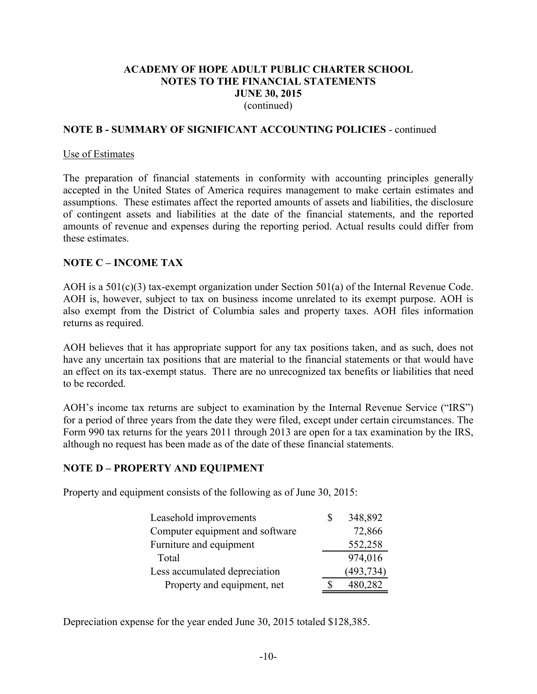#### **NOTE B - SUMMARY OF SIGNIFICANT ACCOUNTING POLICIES** - continued

#### Use of Estimates

The preparation of financial statements in conformity with accounting principles generally accepted in the United States of America requires management to make certain estimates and assumptions. These estimates affect the reported amounts of assets and liabilities, the disclosure of contingent assets and liabilities at the date of the financial statements, and the reported amounts of revenue and expenses during the reporting period. Actual results could differ from these estimates.

#### **NOTE C – INCOME TAX**

AOH is a 501(c)(3) tax-exempt organization under Section 501(a) of the Internal Revenue Code. AOH is, however, subject to tax on business income unrelated to its exempt purpose. AOH is also exempt from the District of Columbia sales and property taxes. AOH files information returns as required.

AOH believes that it has appropriate support for any tax positions taken, and as such, does not have any uncertain tax positions that are material to the financial statements or that would have an effect on its tax-exempt status. There are no unrecognized tax benefits or liabilities that need to be recorded

AOH's income tax returns are subject to examination by the Internal Revenue Service ("IRS") for a period of three years from the date they were filed, except under certain circumstances. The Form 990 tax returns for the years 2011 through 2013 are open for a tax examination by the IRS, although no request has been made as of the date of these financial statements.

#### **NOTE D – PROPERTY AND EQUIPMENT**

Property and equipment consists of the following as of June 30, 2015:

| Leasehold improvements          | 348,892    |
|---------------------------------|------------|
| Computer equipment and software | 72,866     |
| Furniture and equipment         | 552,258    |
| Total                           | 974,016    |
| Less accumulated depreciation   | (493, 734) |
| Property and equipment, net     | 480,282    |

Depreciation expense for the year ended June 30, 2015 totaled \$128,385.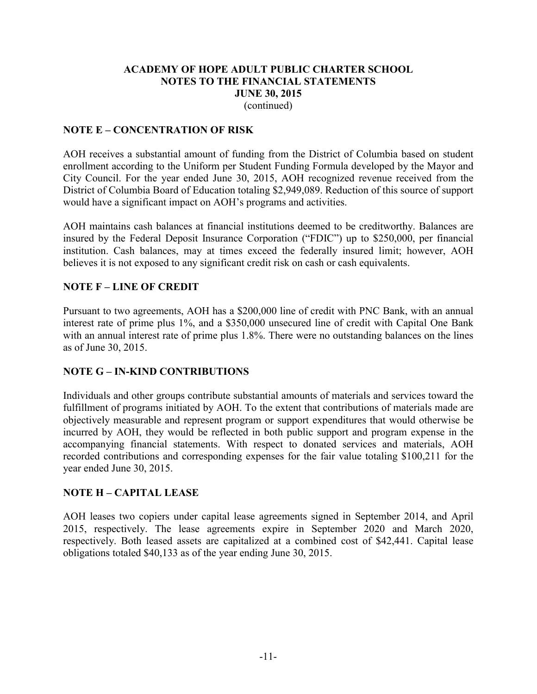### **NOTE E – CONCENTRATION OF RISK**

AOH receives a substantial amount of funding from the District of Columbia based on student enrollment according to the Uniform per Student Funding Formula developed by the Mayor and City Council. For the year ended June 30, 2015, AOH recognized revenue received from the District of Columbia Board of Education totaling \$2,949,089. Reduction of this source of support would have a significant impact on AOH's programs and activities.

AOH maintains cash balances at financial institutions deemed to be creditworthy. Balances are insured by the Federal Deposit Insurance Corporation ("FDIC") up to \$250,000, per financial institution. Cash balances, may at times exceed the federally insured limit; however, AOH believes it is not exposed to any significant credit risk on cash or cash equivalents.

### **NOTE F – LINE OF CREDIT**

Pursuant to two agreements, AOH has a \$200,000 line of credit with PNC Bank, with an annual interest rate of prime plus 1%, and a \$350,000 unsecured line of credit with Capital One Bank with an annual interest rate of prime plus 1.8%. There were no outstanding balances on the lines as of June 30, 2015.

### **NOTE G – IN-KIND CONTRIBUTIONS**

Individuals and other groups contribute substantial amounts of materials and services toward the fulfillment of programs initiated by AOH. To the extent that contributions of materials made are objectively measurable and represent program or support expenditures that would otherwise be incurred by AOH, they would be reflected in both public support and program expense in the accompanying financial statements. With respect to donated services and materials, AOH recorded contributions and corresponding expenses for the fair value totaling \$100,211 for the year ended June 30, 2015.

#### **NOTE H – CAPITAL LEASE**

AOH leases two copiers under capital lease agreements signed in September 2014, and April 2015, respectively. The lease agreements expire in September 2020 and March 2020, respectively. Both leased assets are capitalized at a combined cost of \$42,441. Capital lease obligations totaled \$40,133 as of the year ending June 30, 2015.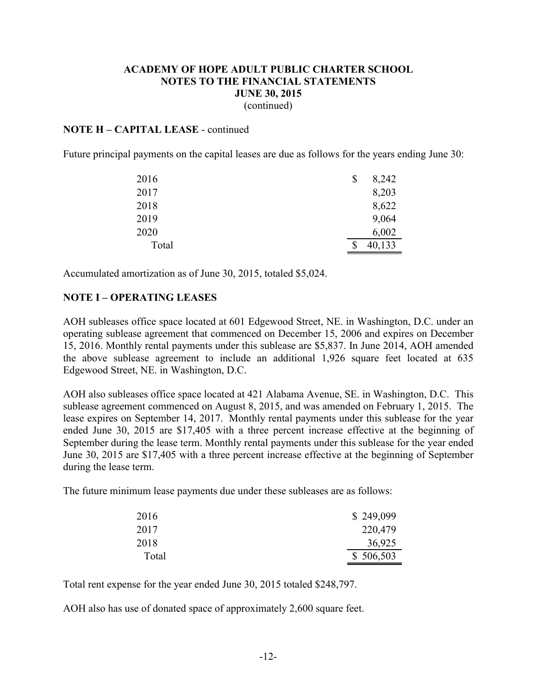#### **NOTE H – CAPITAL LEASE** - continued

Future principal payments on the capital leases are due as follows for the years ending June 30:

| 2016  | 8,242  |
|-------|--------|
| 2017  | 8,203  |
| 2018  | 8,622  |
| 2019  | 9,064  |
| 2020  | 6,002  |
| Total | 40,133 |

Accumulated amortization as of June 30, 2015, totaled \$5,024.

#### **NOTE I – OPERATING LEASES**

AOH subleases office space located at 601 Edgewood Street, NE. in Washington, D.C. under an operating sublease agreement that commenced on December 15, 2006 and expires on December 15, 2016. Monthly rental payments under this sublease are \$5,837. In June 2014, AOH amended the above sublease agreement to include an additional 1,926 square feet located at 635 Edgewood Street, NE. in Washington, D.C.

AOH also subleases office space located at 421 Alabama Avenue, SE. in Washington, D.C. This sublease agreement commenced on August 8, 2015, and was amended on February 1, 2015. The lease expires on September 14, 2017. Monthly rental payments under this sublease for the year ended June 30, 2015 are \$17,405 with a three percent increase effective at the beginning of September during the lease term. Monthly rental payments under this sublease for the year ended June 30, 2015 are \$17,405 with a three percent increase effective at the beginning of September during the lease term.

The future minimum lease payments due under these subleases are as follows:

| 2016  | \$249,099 |
|-------|-----------|
| 2017  | 220,479   |
| 2018  | 36,925    |
| Total | \$506,503 |

Total rent expense for the year ended June 30, 2015 totaled \$248,797.

AOH also has use of donated space of approximately 2,600 square feet.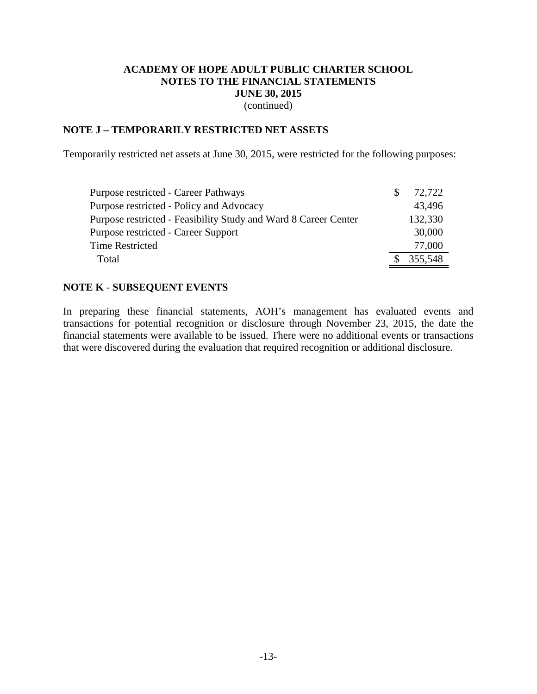### **NOTE J – TEMPORARILY RESTRICTED NET ASSETS**

Temporarily restricted net assets at June 30, 2015, were restricted for the following purposes:

| Purpose restricted - Career Pathways                            | 72,722  |
|-----------------------------------------------------------------|---------|
| Purpose restricted - Policy and Advocacy                        | 43,496  |
| Purpose restricted - Feasibility Study and Ward 8 Career Center | 132,330 |
| Purpose restricted - Career Support                             | 30,000  |
| Time Restricted                                                 | 77,000  |
| Total                                                           | 355,548 |

#### **NOTE K** - **SUBSEQUENT EVENTS**

In preparing these financial statements, AOH's management has evaluated events and transactions for potential recognition or disclosure through November 23, 2015, the date the financial statements were available to be issued. There were no additional events or transactions that were discovered during the evaluation that required recognition or additional disclosure.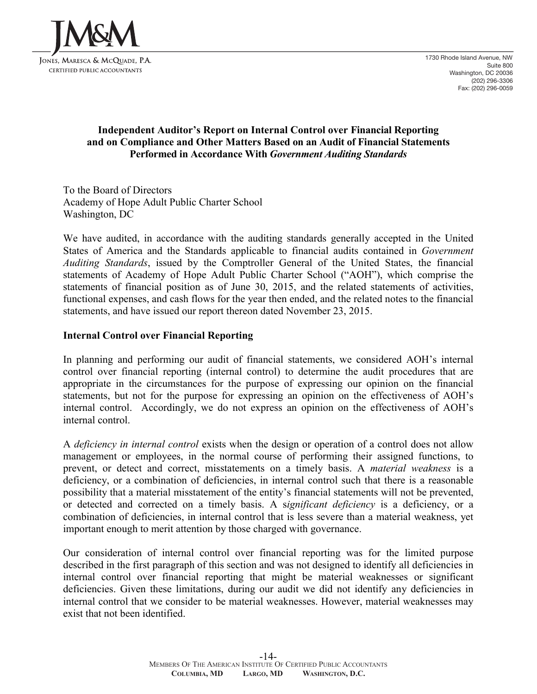

### **Independent Auditor's Report on Internal Control over Financial Reporting and on Compliance and Other Matters Based on an Audit of Financial Statements Performed in Accordance With** *Government Auditing Standards*

To the Board of Directors Academy of Hope Adult Public Charter School Washington, DC

We have audited, in accordance with the auditing standards generally accepted in the United States of America and the Standards applicable to financial audits contained in *Government Auditing Standards*, issued by the Comptroller General of the United States, the financial statements of Academy of Hope Adult Public Charter School ("AOH"), which comprise the statements of financial position as of June 30, 2015, and the related statements of activities, functional expenses, and cash flows for the year then ended, and the related notes to the financial statements, and have issued our report thereon dated November 23, 2015.

### **Internal Control over Financial Reporting**

In planning and performing our audit of financial statements, we considered AOH's internal control over financial reporting (internal control) to determine the audit procedures that are appropriate in the circumstances for the purpose of expressing our opinion on the financial statements, but not for the purpose for expressing an opinion on the effectiveness of AOH's internal control. Accordingly, we do not express an opinion on the effectiveness of AOH's internal control.

A *deficiency in internal control* exists when the design or operation of a control does not allow management or employees, in the normal course of performing their assigned functions, to prevent, or detect and correct, misstatements on a timely basis. A *material weakness* is a deficiency, or a combination of deficiencies, in internal control such that there is a reasonable possibility that a material misstatement of the entity's financial statements will not be prevented, or detected and corrected on a timely basis. A s*ignificant deficiency* is a deficiency, or a combination of deficiencies, in internal control that is less severe than a material weakness, yet important enough to merit attention by those charged with governance.

Our consideration of internal control over financial reporting was for the limited purpose described in the first paragraph of this section and was not designed to identify all deficiencies in internal control over financial reporting that might be material weaknesses or significant deficiencies. Given these limitations, during our audit we did not identify any deficiencies in internal control that we consider to be material weaknesses. However, material weaknesses may exist that not been identified.